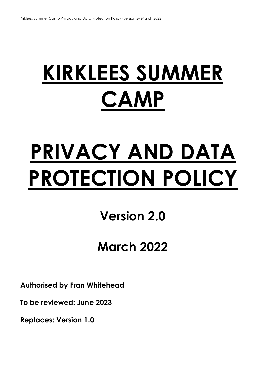# **KIRKLEES SUMMER CAMP**

# **PRIVACY AND DATA PROTECTION POLICY**

# **Version 2.0**

# **March 2022**

**Authorised by Fran Whitehead** 

**To be reviewed: June 2023** 

**Replaces: Version 1.0**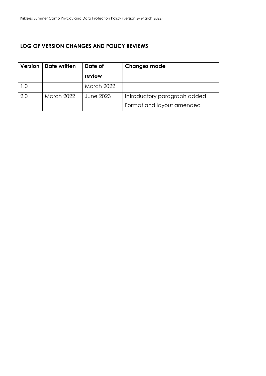## **LOG OF VERSION CHANGES AND POLICY REVIEWS**

| Version | Date written      | Date of           | <b>Changes made</b>          |
|---------|-------------------|-------------------|------------------------------|
|         |                   | review            |                              |
| 1.0     |                   | <b>March 2022</b> |                              |
| 2.0     | <b>March 2022</b> | June 2023         | Introductory paragraph added |
|         |                   |                   | Format and layout amended    |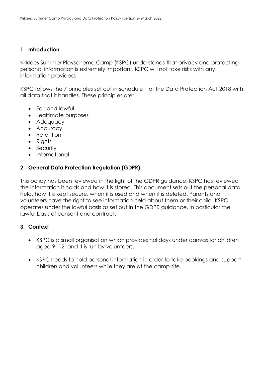#### **1. Introduction**

Kirklees Summer Playscheme Camp (KSPC) understands that privacy and protecting personal information is extremely important. KSPC will not take risks with any information provided.

KSPC follows the 7 principles set out in schedule 1 of the Data Protection Act 2018 with all data that it handles. These principles are:

- Fair and lawful
- Legitimate purposes
- Adequacy
- Accuracy
- Retention
- Rights
- Security
- International

#### **2. General Data Protection Regulation (GDPR)**

This policy has been reviewed in the light of the GDPR guidance. KSPC has reviewed the information it holds and how it is stored. This document sets out the personal data held, how it is kept secure, when it is used and when it is deleted. Parents and volunteers have the right to see information held about them or their child. KSPC operates under the lawful basis as set out in the GDPR guidance, in particular the lawful basis of consent and contract.

#### **3. Context**

- KSPC is a small organisation which provides holidays under canvas for children aged 9 -12, and it is run by volunteers.
- KSPC needs to hold personal information in order to take bookings and support children and volunteers while they are at the camp site.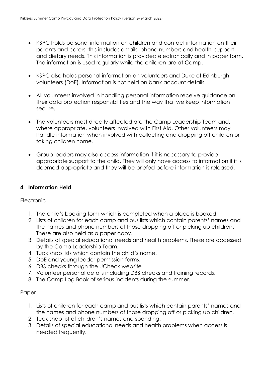- KSPC holds personal information on children and contact information on their parents and carers, this includes emails, phone numbers and health, support and dietary needs. This information is provided electronically and in paper form. The information is used regularly while the children are at Camp.
- KSPC also holds personal information on volunteers and Duke of Edinburgh volunteers (DoE). Information is not held on bank account details.
- All volunteers involved in handling personal information receive guidance on their data protection responsibilities and the way that we keep information secure.
- The volunteers most directly affected are the Camp Leadership Team and, where appropriate, volunteers involved with First Aid. Other volunteers may handle information when involved with collecting and dropping off children or taking children home.
- Group leaders may also access information if it is necessary to provide appropriate support to the child. They will only have access to information if it is deemed appropriate and they will be briefed before information is released.

### **4. Information Held**

#### **Electronic**

- 1. The child's booking form which is completed when a place is booked.
- 2. Lists of children for each camp and bus lists which contain parents' names and the names and phone numbers of those dropping off or picking up children. These are also held as a paper copy.
- 3. Details of special educational needs and health problems. These are accessed by the Camp Leadership Team.
- 4. Tuck shop lists which contain the child's name.
- 5. DoE and young leader permission forms.
- 6. DBS checks through the UCheck website
- 7. Volunteer personal details including DBS checks and training records.
- 8. The Camp Log Book of serious incidents during the summer.

#### Paper

- 1. Lists of children for each camp and bus lists which contain parents' names and the names and phone numbers of those dropping off or picking up children.
- 2. Tuck shop list of children's names and spending.
- 3. Details of special educational needs and health problems when access is needed frequently.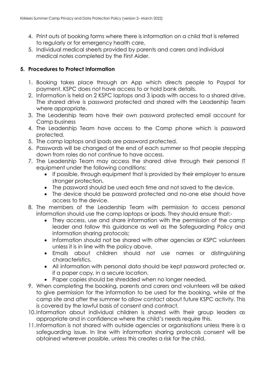- 4. Print outs of booking forms where there is information on a child that is referred to regularly or for emergency health care.
- 5. Individual medical sheets provided by parents and carers and individual medical notes completed by the First Aider.

### **5. Procedures to Protect Information**

- 1. Booking takes place through an App which directs people to Paypal for payment. KSPC does not have access to or hold bank details.
- 2. Information is held on 2 KSPC laptops and 3 ipads with access to a shared drive. The shared drive is password protected and shared with the Leadership Team where appropriate.
- 3. The Leadership team have their own password protected email account for Camp business
- 4. The Leadership Team have access to the Camp phone which is password protected.
- 5. The camp laptops and ipads are password protected.
- 6. Passwords will be changed at the end of each summer so that people stepping down from roles do not continue to have access.
- 7. The Leadership Team may access the shared drive through their personal IT equipment under the following conditions:
	- If possible, through equipment that is provided by their employer to ensure stronger protection.
	- The password should be used each time and not saved to the device.
	- The device should be password protected and no-one else should have access to the device.
- 8. The members of the Leadership Team with permission to access personal information should use the camp laptops or ipads. They should ensure that:-
	- They access, use and share information with the permission of the camp leader and follow this guidance as well as the Safeguarding Policy and information sharing protocols;
	- Information should not be shared with other agencies or KSPC volunteers unless it is in line with the policy above.
	- Emails about children should not use names or distinguishing characteristics.
	- All information with personal data should be kept password protected or, if a paper copy, in a secure location.
	- Paper copies should be shredded when no longer needed.
- 9. When completing the booking, parents and carers and volunteers will be asked to give permission for the information to be used for the booking, while at the camp site and after the summer to allow contact about future KSPC activity. This is covered by the lawful basis of consent and contract.
- 10.Information about individual children is shared with their group leaders as appropriate and in confidence where the child's needs require this.
- 11.Information is not shared with outside agencies or organisations unless there is a safeguarding issue. In line with information sharing protocols consent will be obtained wherever possible, unless this creates a risk for the child.